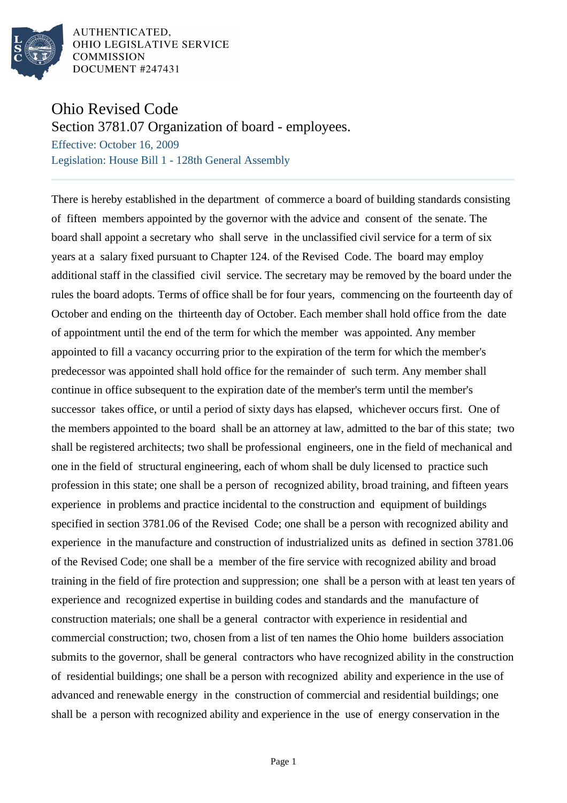

AUTHENTICATED. OHIO LEGISLATIVE SERVICE **COMMISSION DOCUMENT #247431** 

## Ohio Revised Code

Section 3781.07 Organization of board - employees.

Effective: October 16, 2009 Legislation: House Bill 1 - 128th General Assembly

There is hereby established in the department of commerce a board of building standards consisting of fifteen members appointed by the governor with the advice and consent of the senate. The board shall appoint a secretary who shall serve in the unclassified civil service for a term of six years at a salary fixed pursuant to Chapter 124. of the Revised Code. The board may employ additional staff in the classified civil service. The secretary may be removed by the board under the rules the board adopts. Terms of office shall be for four years, commencing on the fourteenth day of October and ending on the thirteenth day of October. Each member shall hold office from the date of appointment until the end of the term for which the member was appointed. Any member appointed to fill a vacancy occurring prior to the expiration of the term for which the member's predecessor was appointed shall hold office for the remainder of such term. Any member shall continue in office subsequent to the expiration date of the member's term until the member's successor takes office, or until a period of sixty days has elapsed, whichever occurs first. One of the members appointed to the board shall be an attorney at law, admitted to the bar of this state; two shall be registered architects; two shall be professional engineers, one in the field of mechanical and one in the field of structural engineering, each of whom shall be duly licensed to practice such profession in this state; one shall be a person of recognized ability, broad training, and fifteen years experience in problems and practice incidental to the construction and equipment of buildings specified in section 3781.06 of the Revised Code; one shall be a person with recognized ability and experience in the manufacture and construction of industrialized units as defined in section 3781.06 of the Revised Code; one shall be a member of the fire service with recognized ability and broad training in the field of fire protection and suppression; one shall be a person with at least ten years of experience and recognized expertise in building codes and standards and the manufacture of construction materials; one shall be a general contractor with experience in residential and commercial construction; two, chosen from a list of ten names the Ohio home builders association submits to the governor, shall be general contractors who have recognized ability in the construction of residential buildings; one shall be a person with recognized ability and experience in the use of advanced and renewable energy in the construction of commercial and residential buildings; one shall be a person with recognized ability and experience in the use of energy conservation in the